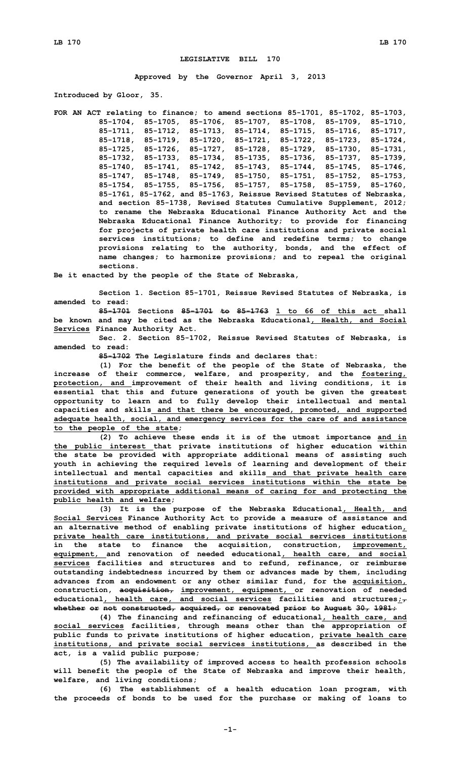## **LEGISLATIVE BILL 170**

**Approved by the Governor April 3, 2013**

**Introduced by Gloor, 35.**

**FOR AN ACT relating to finance; to amend sections 85-1701, 85-1702, 85-1703, 85-1704, 85-1705, 85-1706, 85-1707, 85-1708, 85-1709, 85-1710, 85-1711, 85-1712, 85-1713, 85-1714, 85-1715, 85-1716, 85-1717, 85-1718, 85-1719, 85-1720, 85-1721, 85-1722, 85-1723, 85-1724, 85-1725, 85-1726, 85-1727, 85-1728, 85-1729, 85-1730, 85-1731, 85-1732, 85-1733, 85-1734, 85-1735, 85-1736, 85-1737, 85-1739, 85-1740, 85-1741, 85-1742, 85-1743, 85-1744, 85-1745, 85-1746, 85-1747, 85-1748, 85-1749, 85-1750, 85-1751, 85-1752, 85-1753, 85-1754, 85-1755, 85-1756, 85-1757, 85-1758, 85-1759, 85-1760, 85-1761, 85-1762, and 85-1763, Reissue Revised Statutes of Nebraska, and section 85-1738, Revised Statutes Cumulative Supplement, 2012; to rename the Nebraska Educational Finance Authority Act and the Nebraska Educational Finance Authority; to provide for financing for projects of private health care institutions and private social services institutions; to define and redefine terms; to change provisions relating to the authority, bonds, and the effect of name changes; to harmonize provisions; and to repeal the original sections.**

**Be it enacted by the people of the State of Nebraska,**

**Section 1. Section 85-1701, Reissue Revised Statutes of Nebraska, is amended to read:**

**85-1701 Sections 85-1701 to 85-1763 1 to 66 of this act shall be known and may be cited as the Nebraska Educational, Health, and Social Services Finance Authority Act.**

**Sec. 2. Section 85-1702, Reissue Revised Statutes of Nebraska, is amended to read:**

**85-1702 The Legislature finds and declares that:**

**(1) For the benefit of the people of the State of Nebraska, the increase of their commerce, welfare, and prosperity, and the fostering, protection, and improvement of their health and living conditions, it is essential that this and future generations of youth be given the greatest opportunity to learn and to fully develop their intellectual and mental capacities and skills and that there be encouraged, promoted, and supported adequate health, social, and emergency services for the care of and assistance to the people of the state;**

**(2) To achieve these ends it is of the utmost importance and in the public interest that private institutions of higher education within the state be provided with appropriate additional means of assisting such youth in achieving the required levels of learning and development of their intellectual and mental capacities and skills and that private health care institutions and private social services institutions within the state be provided with appropriate additional means of caring for and protecting the public health and welfare;**

**(3) It is the purpose of the Nebraska Educational, Health, and Social Services Finance Authority Act to provide <sup>a</sup> measure of assistance and an alternative method of enabling private institutions of higher education, private health care institutions, and private social services institutions in the state to finance the acquisition, construction, improvement, equipment, and renovation of needed educational, health care, and social services facilities and structures and to refund, refinance, or reimburse outstanding indebtedness incurred by them or advances made by them, including advances from an endowment or any other similar fund, for the acquisition, construction, acquisition, improvement, equipment, or renovation of needed educational, health care, and social services facilities and structures;, whether or not constructed, acquired, or renovated prior to August 30, 1981;**

**(4) The financing and refinancing of educational, health care, and social services facilities, through means other than the appropriation of public funds to private institutions of higher education, private health care institutions, and private social services institutions, as described in the act, is <sup>a</sup> valid public purpose;**

**(5) The availability of improved access to health profession schools will benefit the people of the State of Nebraska and improve their health, welfare, and living conditions;**

**(6) The establishment of <sup>a</sup> health education loan program, with the proceeds of bonds to be used for the purchase or making of loans to**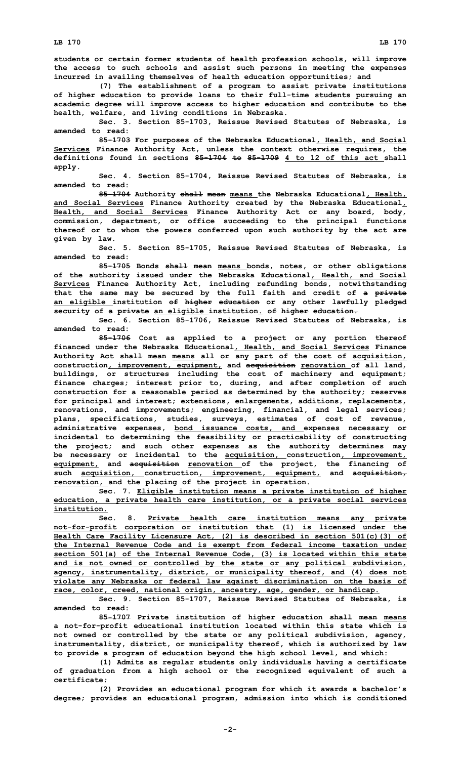**students or certain former students of health profession schools, will improve the access to such schools and assist such persons in meeting the expenses incurred in availing themselves of health education opportunities; and**

**(7) The establishment of <sup>a</sup> program to assist private institutions of higher education to provide loans to their full-time students pursuing an academic degree will improve access to higher education and contribute to the health, welfare, and living conditions in Nebraska.**

**Sec. 3. Section 85-1703, Reissue Revised Statutes of Nebraska, is amended to read:**

**85-1703 For purposes of the Nebraska Educational, Health, and Social Services Finance Authority Act, unless the context otherwise requires, the definitions found in sections 85-1704 to 85-1709 4 to 12 of this act shall apply.**

**Sec. 4. Section 85-1704, Reissue Revised Statutes of Nebraska, is amended to read:**

**85-1704 Authority shall mean means the Nebraska Educational, Health, and Social Services Finance Authority created by the Nebraska Educational, Health, and Social Services Finance Authority Act or any board, body, commission, department, or office succeeding to the principal functions thereof or to whom the powers conferred upon such authority by the act are given by law.**

**Sec. 5. Section 85-1705, Reissue Revised Statutes of Nebraska, is amended to read:**

**85-1705 Bonds shall mean means bonds, notes, or other obligations of the authority issued under the Nebraska Educational, Health, and Social Services Finance Authority Act, including refunding bonds, notwithstanding that the same may be secured by the full faith and credit of <sup>a</sup> private an eligible institution of higher education or any other lawfully pledged security of <sup>a</sup> private an eligible institution. of higher education.**

**Sec. 6. Section 85-1706, Reissue Revised Statutes of Nebraska, is amended to read:**

**85-1706 Cost as applied to <sup>a</sup> project or any portion thereof financed under the Nebraska Educational, Health, and Social Services Finance Authority Act shall mean means all or any part of the cost of acquisition, construction, improvement, equipment, and acquisition renovation of all land, buildings, or structures including the cost of machinery and equipment; finance charges; interest prior to, during, and after completion of such construction for <sup>a</sup> reasonable period as determined by the authority; reserves for principal and interest; extensions, enlargements, additions, replacements, renovations, and improvements; engineering, financial, and legal services; plans, specifications, studies, surveys, estimates of cost of revenue, administrative expenses, bond issuance costs, and expenses necessary or incidental to determining the feasibility or practicability of constructing the project; and such other expenses as the authority determines may be necessary or incidental to the acquisition, construction, improvement, equipment, and acquisition renovation of the project, the financing of such acquisition, construction, improvement, equipment, and acquisition, renovation, and the placing of the project in operation.**

**Sec. 7. Eligible institution means <sup>a</sup> private institution of higher education, <sup>a</sup> private health care institution, or <sup>a</sup> private social services institution.**

**Sec. 8. Private health care institution means any private not-for-profit corporation or institution that (1) is licensed under the Health Care Facility Licensure Act, (2) is described in section 501(c)(3) of the Internal Revenue Code and is exempt from federal income taxation under section 501(a) of the Internal Revenue Code, (3) is located within this state and is not owned or controlled by the state or any political subdivision, agency, instrumentality, district, or municipality thereof, and (4) does not violate any Nebraska or federal law against discrimination on the basis of race, color, creed, national origin, ancestry, age, gender, or handicap.**

**Sec. 9. Section 85-1707, Reissue Revised Statutes of Nebraska, is amended to read:**

**85-1707 Private institution of higher education shall mean means <sup>a</sup> not-for-profit educational institution located within this state which is not owned or controlled by the state or any political subdivision, agency, instrumentality, district, or municipality thereof, which is authorized by law to provide <sup>a</sup> program of education beyond the high school level, and which:**

**(1) Admits as regular students only individuals having <sup>a</sup> certificate of graduation from <sup>a</sup> high school or the recognized equivalent of such <sup>a</sup> certificate;**

**(2) Provides an educational program for which it awards <sup>a</sup> bachelor's degree; provides an educational program, admission into which is conditioned**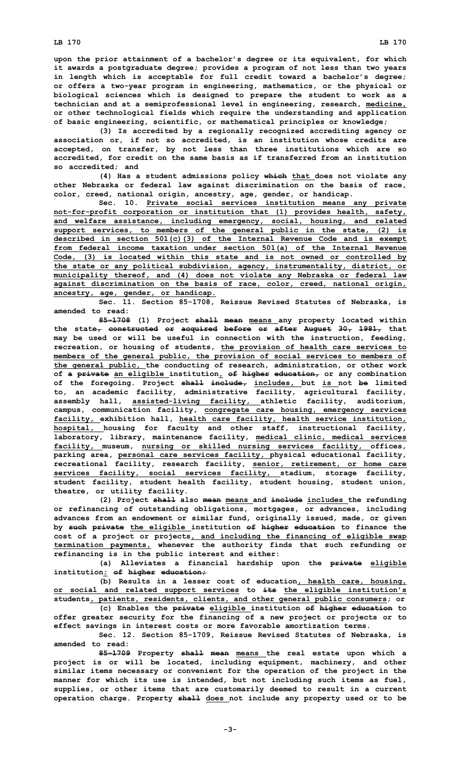**upon the prior attainment of <sup>a</sup> bachelor's degree or its equivalent, for which it awards <sup>a</sup> postgraduate degree; provides <sup>a</sup> program of not less than two years in length which is acceptable for full credit toward <sup>a</sup> bachelor's degree; or offers <sup>a</sup> two-year program in engineering, mathematics, or the physical or biological sciences which is designed to prepare the student to work as <sup>a</sup> technician and at <sup>a</sup> semiprofessional level in engineering, research, medicine, or other technological fields which require the understanding and application of basic engineering, scientific, or mathematical principles or knowledge;**

**(3) Is accredited by <sup>a</sup> regionally recognized accrediting agency or association or, if not so accredited, is an institution whose credits are accepted, on transfer, by not less than three institutions which are so accredited, for credit on the same basis as if transferred from an institution so accredited; and**

**(4) Has <sup>a</sup> student admissions policy which that does not violate any other Nebraska or federal law against discrimination on the basis of race, color, creed, national origin, ancestry, age, gender, or handicap.**

**Sec. 10. Private social services institution means any private not-for-profit corporation or institution that (1) provides health, safety, and welfare assistance, including emergency, social, housing, and related support services, to members of the general public in the state, (2) is described in section 501(c)(3) of the Internal Revenue Code and is exempt from federal income taxation under section 501(a) of the Internal Revenue Code, (3) is located within this state and is not owned or controlled by the state or any political subdivision, agency, instrumentality, district, or municipality thereof, and (4) does not violate any Nebraska or federal law against discrimination on the basis of race, color, creed, national origin, ancestry, age, gender, or handicap.**

**Sec. 11. Section 85-1708, Reissue Revised Statutes of Nebraska, is amended to read:**

**85-1708 (1) Project shall mean means any property located within the state, constructed or acquired before or after August 30, 1981, that may be used or will be useful in connection with the instruction, feeding, recreation, or housing of students, the provision of health care services to members of the general public, the provision of social services to members of the general public, the conducting of research, administration, or other work of <sup>a</sup> private an eligible institution, of higher education, or any combination of the foregoing. Project shall include, includes, but is not be limited to, an academic facility, administrative facility, agricultural facility, assembly hall, assisted-living facility, athletic facility, auditorium, campus, communication facility, congregate care housing, emergency services facility, exhibition hall, health care facility, health service institution, hospital, housing for faculty and other staff, instructional facility, laboratory, library, maintenance facility, medical clinic, medical services facility, museum, nursing or skilled nursing services facility, offices, parking area, personal care services facility, physical educational facility, recreational facility, research facility, senior, retirement, or home care services facility, social services facility, stadium, storage facility, student facility, student health facility, student housing, student union, theatre, or utility facility.**

**(2) Project shall also mean means and include includes the refunding or refinancing of outstanding obligations, mortgages, or advances, including advances from an endowment or similar fund, originally issued, made, or given by such private the eligible institution of higher education to finance the cost of <sup>a</sup> project or projects, and including the financing of eligible swap termination payments, whenever the authority finds that such refunding or refinancing is in the public interest and either:**

**(a) Alleviates <sup>a</sup> financial hardship upon the private eligible institution; of higher education;**

**(b) Results in <sup>a</sup> lesser cost of education, health care, housing, or social and related support services to its the eligible institution's students, patients, residents, clients, and other general public consumers; or**

**(c) Enables the private eligible institution of higher education to offer greater security for the financing of <sup>a</sup> new project or projects or to effect savings in interest costs or more favorable amortization terms.**

**Sec. 12. Section 85-1709, Reissue Revised Statutes of Nebraska, is amended to read:**

**85-1709 Property shall mean means the real estate upon which <sup>a</sup> project is or will be located, including equipment, machinery, and other similar items necessary or convenient for the operation of the project in the manner for which its use is intended, but not including such items as fuel, supplies, or other items that are customarily deemed to result in <sup>a</sup> current operation charge. Property shall does not include any property used or to be**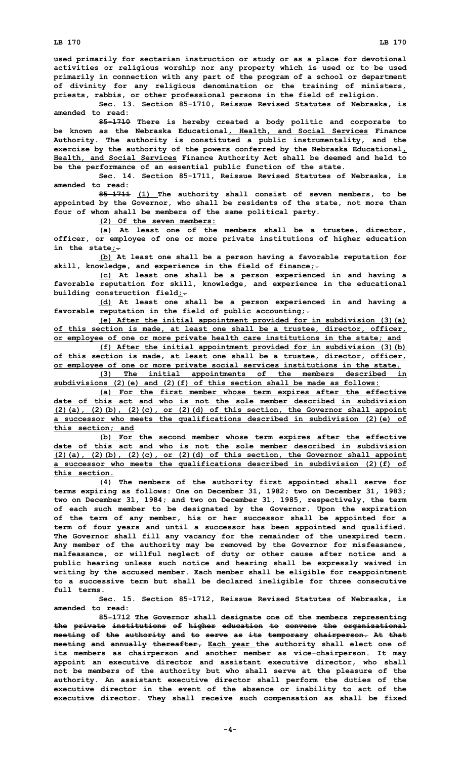**used primarily for sectarian instruction or study or as <sup>a</sup> place for devotional activities or religious worship nor any property which is used or to be used primarily in connection with any part of the program of <sup>a</sup> school or department of divinity for any religious denomination or the training of ministers, priests, rabbis, or other professional persons in the field of religion.**

**Sec. 13. Section 85-1710, Reissue Revised Statutes of Nebraska, is amended to read:**

**85-1710 There is hereby created <sup>a</sup> body politic and corporate to be known as the Nebraska Educational, Health, and Social Services Finance Authority. The authority is constituted <sup>a</sup> public instrumentality, and the exercise by the authority of the powers conferred by the Nebraska Educational, Health, and Social Services Finance Authority Act shall be deemed and held to be the performance of an essential public function of the state.**

**Sec. 14. Section 85-1711, Reissue Revised Statutes of Nebraska, is amended to read:**

**85-1711 (1) The authority shall consist of seven members, to be appointed by the Governor, who shall be residents of the state, not more than four of whom shall be members of the same political party.**

**(2) Of the seven members:**

**(a) At least one of the members shall be <sup>a</sup> trustee, director, officer, or employee of one or more private institutions of higher education in the state;.**

**(b) At least one shall be <sup>a</sup> person having <sup>a</sup> favorable reputation for skill, knowledge, and experience in the field of finance;.**

**(c) At least one shall be <sup>a</sup> person experienced in and having <sup>a</sup> favorable reputation for skill, knowledge, and experience in the educational building construction field;.**

**(d) At least one shall be <sup>a</sup> person experienced in and having <sup>a</sup> favorable reputation in the field of public accounting;.**

**(e) After the initial appointment provided for in subdivision (3)(a) of this section is made, at least one shall be <sup>a</sup> trustee, director, officer, or employee of one or more private health care institutions in the state; and**

**(f) After the initial appointment provided for in subdivision (3)(b) of this section is made, at least one shall be <sup>a</sup> trustee, director, officer, or employee of one or more private social services institutions in the state.**

**(3) The initial appointments of the members described in subdivisions (2)(e) and (2)(f) of this section shall be made as follows:**

**(a) For the first member whose term expires after the effective date of this act and who is not the sole member described in subdivision (2)(a), (2)(b), (2)(c), or (2)(d) of this section, the Governor shall appoint <sup>a</sup> successor who meets the qualifications described in subdivision (2)(e) of this section; and**

**(b) For the second member whose term expires after the effective date of this act and who is not the sole member described in subdivision (2)(a), (2)(b), (2)(c), or (2)(d) of this section, the Governor shall appoint <sup>a</sup> successor who meets the qualifications described in subdivision (2)(f) of this section.**

**(4) The members of the authority first appointed shall serve for terms expiring as follows: One on December 31, 1982; two on December 31, 1983; two on December 31, 1984; and two on December 31, 1985, respectively, the term of each such member to be designated by the Governor. Upon the expiration of the term of any member, his or her successor shall be appointed for <sup>a</sup> term of four years and until <sup>a</sup> successor has been appointed and qualified. The Governor shall fill any vacancy for the remainder of the unexpired term. Any member of the authority may be removed by the Governor for misfeasance, malfeasance, or willful neglect of duty or other cause after notice and <sup>a</sup> public hearing unless such notice and hearing shall be expressly waived in writing by the accused member. Each member shall be eligible for reappointment to <sup>a</sup> successive term but shall be declared ineligible for three consecutive full terms.**

**Sec. 15. Section 85-1712, Reissue Revised Statutes of Nebraska, is amended to read:**

**85-1712 The Governor shall designate one of the members representing the private institutions of higher education to convene the organizational meeting of the authority and to serve as its temporary chairperson. At that meeting and annually thereafter, Each year the authority shall elect one of its members as chairperson and another member as vice-chairperson. It may appoint an executive director and assistant executive director, who shall not be members of the authority but who shall serve at the pleasure of the authority. An assistant executive director shall perform the duties of the executive director in the event of the absence or inability to act of the executive director. They shall receive such compensation as shall be fixed**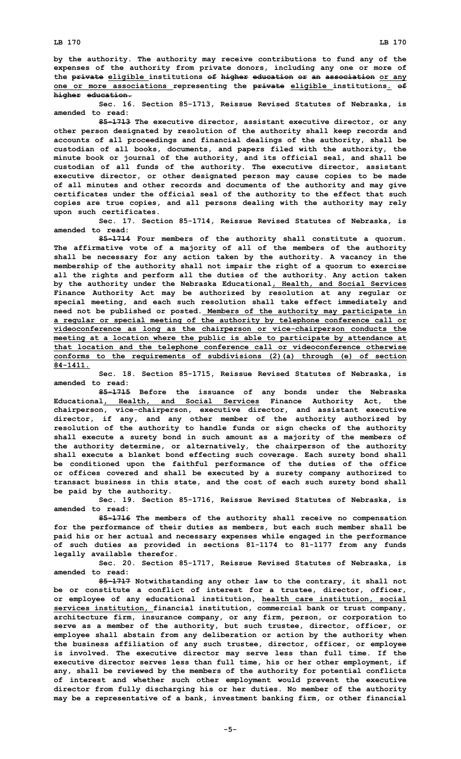**by the authority. The authority may receive contributions to fund any of the expenses of the authority from private donors, including any one or more of the private eligible institutions of higher education or an association or any one or more associations representing the private eligible institutions. of higher education.**

**Sec. 16. Section 85-1713, Reissue Revised Statutes of Nebraska, is amended to read:**

**85-1713 The executive director, assistant executive director, or any other person designated by resolution of the authority shall keep records and accounts of all proceedings and financial dealings of the authority, shall be custodian of all books, documents, and papers filed with the authority, the minute book or journal of the authority, and its official seal, and shall be custodian of all funds of the authority. The executive director, assistant executive director, or other designated person may cause copies to be made of all minutes and other records and documents of the authority and may give certificates under the official seal of the authority to the effect that such copies are true copies, and all persons dealing with the authority may rely upon such certificates.**

**Sec. 17. Section 85-1714, Reissue Revised Statutes of Nebraska, is amended to read:**

**85-1714 Four members of the authority shall constitute <sup>a</sup> quorum. The affirmative vote of <sup>a</sup> majority of all of the members of the authority shall be necessary for any action taken by the authority. A vacancy in the membership of the authority shall not impair the right of <sup>a</sup> quorum to exercise all the rights and perform all the duties of the authority. Any action taken by the authority under the Nebraska Educational, Health, and Social Services Finance Authority Act may be authorized by resolution at any regular or special meeting, and each such resolution shall take effect immediately and need not be published or posted. Members of the authority may participate in <sup>a</sup> regular or special meeting of the authority by telephone conference call or videoconference as long as the chairperson or vice-chairperson conducts the meeting at <sup>a</sup> location where the public is able to participate by attendance at that location and the telephone conference call or videoconference otherwise conforms to the requirements of subdivisions (2)(a) through (e) of section 84-1411.**

**Sec. 18. Section 85-1715, Reissue Revised Statutes of Nebraska, is amended to read:**

**85-1715 Before the issuance of any bonds under the Nebraska Educational, Health, and Social Services Finance Authority Act, the chairperson, vice-chairperson, executive director, and assistant executive director, if any, and any other member of the authority authorized by resolution of the authority to handle funds or sign checks of the authority shall execute <sup>a</sup> surety bond in such amount as <sup>a</sup> majority of the members of the authority determine, or alternatively, the chairperson of the authority shall execute <sup>a</sup> blanket bond effecting such coverage. Each surety bond shall be conditioned upon the faithful performance of the duties of the office or offices covered and shall be executed by <sup>a</sup> surety company authorized to transact business in this state, and the cost of each such surety bond shall be paid by the authority.**

**Sec. 19. Section 85-1716, Reissue Revised Statutes of Nebraska, is amended to read:**

**85-1716 The members of the authority shall receive no compensation for the performance of their duties as members, but each such member shall be paid his or her actual and necessary expenses while engaged in the performance of such duties as provided in sections 81-1174 to 81-1177 from any funds legally available therefor.**

**Sec. 20. Section 85-1717, Reissue Revised Statutes of Nebraska, is amended to read:**

**85-1717 Notwithstanding any other law to the contrary, it shall not be or constitute <sup>a</sup> conflict of interest for <sup>a</sup> trustee, director, officer, or employee of any educational institution, health care institution, social services institution, financial institution, commercial bank or trust company, architecture firm, insurance company, or any firm, person, or corporation to serve as <sup>a</sup> member of the authority, but such trustee, director, officer, or employee shall abstain from any deliberation or action by the authority when the business affiliation of any such trustee, director, officer, or employee is involved. The executive director may serve less than full time. If the executive director serves less than full time, his or her other employment, if any, shall be reviewed by the members of the authority for potential conflicts of interest and whether such other employment would prevent the executive director from fully discharging his or her duties. No member of the authority may be <sup>a</sup> representative of <sup>a</sup> bank, investment banking firm, or other financial**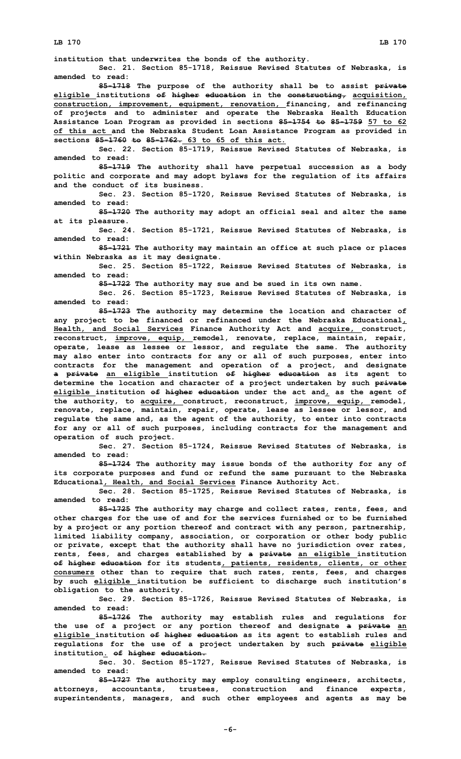**institution that underwrites the bonds of the authority.**

**Sec. 21. Section 85-1718, Reissue Revised Statutes of Nebraska, is amended to read:**

**85-1718 The purpose of the authority shall be to assist private eligible institutions of higher education in the constructing, acquisition, construction, improvement, equipment, renovation, financing, and refinancing of projects and to administer and operate the Nebraska Health Education Assistance Loan Program as provided in sections 85-1754 to 85-1759 57 to 62 of this act and the Nebraska Student Loan Assistance Program as provided in sections 85-1760 to 85-1762. 63 to 65 of this act.**

**Sec. 22. Section 85-1719, Reissue Revised Statutes of Nebraska, is amended to read:**

**85-1719 The authority shall have perpetual succession as <sup>a</sup> body politic and corporate and may adopt bylaws for the regulation of its affairs and the conduct of its business.**

**Sec. 23. Section 85-1720, Reissue Revised Statutes of Nebraska, is amended to read:**

**85-1720 The authority may adopt an official seal and alter the same at its pleasure.**

**Sec. 24. Section 85-1721, Reissue Revised Statutes of Nebraska, is amended to read:**

**85-1721 The authority may maintain an office at such place or places within Nebraska as it may designate.**

**Sec. 25. Section 85-1722, Reissue Revised Statutes of Nebraska, is amended to read:**

**85-1722 The authority may sue and be sued in its own name.**

**Sec. 26. Section 85-1723, Reissue Revised Statutes of Nebraska, is amended to read:**

**85-1723 The authority may determine the location and character of any project to be financed or refinanced under the Nebraska Educational, Health, and Social Services Finance Authority Act and acquire, construct, reconstruct, improve, equip, remodel, renovate, replace, maintain, repair, operate, lease as lessee or lessor, and regulate the same. The authority may also enter into contracts for any or all of such purposes, enter into contracts for the management and operation of <sup>a</sup> project, and designate <sup>a</sup> private an eligible institution of higher education as its agent to determine the location and character of <sup>a</sup> project undertaken by such private eligible institution of higher education under the act and, as the agent of the authority, to acquire, construct, reconstruct, improve, equip, remodel, renovate, replace, maintain, repair, operate, lease as lessee or lessor, and regulate the same and, as the agent of the authority, to enter into contracts for any or all of such purposes, including contracts for the management and operation of such project.**

**Sec. 27. Section 85-1724, Reissue Revised Statutes of Nebraska, is amended to read:**

**85-1724 The authority may issue bonds of the authority for any of its corporate purposes and fund or refund the same pursuant to the Nebraska Educational, Health, and Social Services Finance Authority Act.**

**Sec. 28. Section 85-1725, Reissue Revised Statutes of Nebraska, is amended to read:**

**85-1725 The authority may charge and collect rates, rents, fees, and other charges for the use of and for the services furnished or to be furnished by <sup>a</sup> project or any portion thereof and contract with any person, partnership, limited liability company, association, or corporation or other body public or private, except that the authority shall have no jurisdiction over rates, rents, fees, and charges established by <sup>a</sup> private an eligible institution of higher education for its students, patients, residents, clients, or other consumers other than to require that such rates, rents, fees, and charges by such eligible institution be sufficient to discharge such institution's obligation to the authority.**

**Sec. 29. Section 85-1726, Reissue Revised Statutes of Nebraska, is amended to read:**

**85-1726 The authority may establish rules and regulations for the use of <sup>a</sup> project or any portion thereof and designate <sup>a</sup> private an eligible institution of higher education as its agent to establish rules and regulations for the use of <sup>a</sup> project undertaken by such private eligible institution. of higher education.**

**Sec. 30. Section 85-1727, Reissue Revised Statutes of Nebraska, is amended to read:**

**85-1727 The authority may employ consulting engineers, architects, attorneys, accountants, trustees, construction and finance experts, superintendents, managers, and such other employees and agents as may be**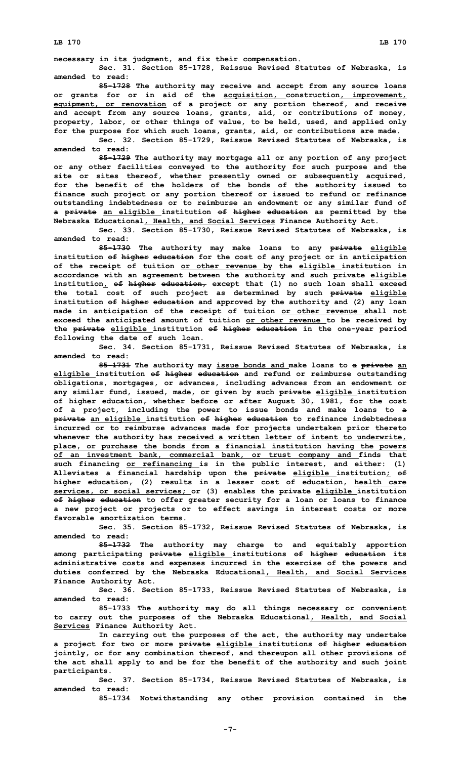**LB 170 LB 170**

**necessary in its judgment, and fix their compensation.**

**Sec. 31. Section 85-1728, Reissue Revised Statutes of Nebraska, is amended to read:**

**85-1728 The authority may receive and accept from any source loans or grants for or in aid of the acquisition, construction, improvement, equipment, or renovation of <sup>a</sup> project or any portion thereof, and receive and accept from any source loans, grants, aid, or contributions of money, property, labor, or other things of value, to be held, used, and applied only for the purpose for which such loans, grants, aid, or contributions are made.**

**Sec. 32. Section 85-1729, Reissue Revised Statutes of Nebraska, is amended to read:**

**85-1729 The authority may mortgage all or any portion of any project or any other facilities conveyed to the authority for such purpose and the site or sites thereof, whether presently owned or subsequently acquired, for the benefit of the holders of the bonds of the authority issued to finance such project or any portion thereof or issued to refund or refinance outstanding indebtedness or to reimburse an endowment or any similar fund of <sup>a</sup> private an eligible institution of higher education as permitted by the Nebraska Educational, Health, and Social Services Finance Authority Act.**

**Sec. 33. Section 85-1730, Reissue Revised Statutes of Nebraska, is amended to read:**

**85-1730 The authority may make loans to any private eligible institution of higher education for the cost of any project or in anticipation of the receipt of tuition or other revenue by the eligible institution in accordance with an agreement between the authority and such private eligible institution, of higher education, except that (1) no such loan shall exceed the total cost of such project as determined by such private eligible institution of higher education and approved by the authority and (2) any loan made in anticipation of the receipt of tuition or other revenue shall not exceed the anticipated amount of tuition or other revenue to be received by the private eligible institution of higher education in the one-year period following the date of such loan.**

**Sec. 34. Section 85-1731, Reissue Revised Statutes of Nebraska, is amended to read:**

**85-1731 The authority may issue bonds and make loans to <sup>a</sup> private an eligible institution of higher education and refund or reimburse outstanding obligations, mortgages, or advances, including advances from an endowment or any similar fund, issued, made, or given by such private eligible institution of higher education, whether before or after August 30, 1981, for the cost of <sup>a</sup> project, including the power to issue bonds and make loans to <sup>a</sup> private an eligible institution of higher education to refinance indebtedness incurred or to reimburse advances made for projects undertaken prior thereto whenever the authority has received <sup>a</sup> written letter of intent to underwrite, place, or purchase the bonds from <sup>a</sup> financial institution having the powers of an investment bank, commercial bank, or trust company and finds that such financing or refinancing is in the public interest, and either: (1) Alleviates <sup>a</sup> financial hardship upon the private eligible institution; of higher education, (2) results in <sup>a</sup> lesser cost of education, health care services, or social services; or (3) enables the private eligible institution of higher education to offer greater security for <sup>a</sup> loan or loans to finance <sup>a</sup> new project or projects or to effect savings in interest costs or more favorable amortization terms.**

**Sec. 35. Section 85-1732, Reissue Revised Statutes of Nebraska, is amended to read:**

**85-1732 The authority may charge to and equitably apportion among participating private eligible institutions of higher education its administrative costs and expenses incurred in the exercise of the powers and duties conferred by the Nebraska Educational, Health, and Social Services Finance Authority Act.**

**Sec. 36. Section 85-1733, Reissue Revised Statutes of Nebraska, is amended to read:**

**85-1733 The authority may do all things necessary or convenient to carry out the purposes of the Nebraska Educational, Health, and Social Services Finance Authority Act.**

**In carrying out the purposes of the act, the authority may undertake <sup>a</sup> project for two or more private eligible institutions of higher education jointly, or for any combination thereof, and thereupon all other provisions of the act shall apply to and be for the benefit of the authority and such joint participants.**

**Sec. 37. Section 85-1734, Reissue Revised Statutes of Nebraska, is amended to read:**

**85-1734 Notwithstanding any other provision contained in the**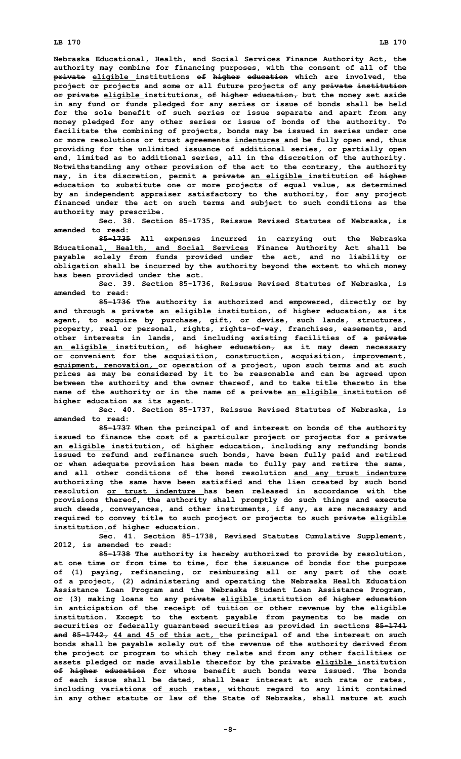**Nebraska Educational, Health, and Social Services Finance Authority Act, the authority may combine for financing purposes, with the consent of all of the private eligible institutions of higher education which are involved, the project or projects and some or all future projects of any private institution or private eligible institutions, of higher education, but the money set aside in any fund or funds pledged for any series or issue of bonds shall be held for the sole benefit of such series or issue separate and apart from any money pledged for any other series or issue of bonds of the authority. To facilitate the combining of projects, bonds may be issued in series under one or more resolutions or trust agreements indentures and be fully open end, thus providing for the unlimited issuance of additional series, or partially open end, limited as to additional series, all in the discretion of the authority. Notwithstanding any other provision of the act to the contrary, the authority may, in its discretion, permit <sup>a</sup> private an eligible institution of higher education to substitute one or more projects of equal value, as determined by an independent appraiser satisfactory to the authority, for any project financed under the act on such terms and subject to such conditions as the authority may prescribe.**

**Sec. 38. Section 85-1735, Reissue Revised Statutes of Nebraska, is amended to read:**

**85-1735 All expenses incurred in carrying out the Nebraska Educational, Health, and Social Services Finance Authority Act shall be payable solely from funds provided under the act, and no liability or obligation shall be incurred by the authority beyond the extent to which money has been provided under the act.**

**Sec. 39. Section 85-1736, Reissue Revised Statutes of Nebraska, is amended to read:**

**85-1736 The authority is authorized and empowered, directly or by and through <sup>a</sup> private an eligible institution, of higher education, as its agent, to acquire by purchase, gift, or devise, such lands, structures, property, real or personal, rights, rights-of-way, franchises, easements, and other interests in lands, and including existing facilities of <sup>a</sup> private an eligible institution, of higher education, as it may deem necessary or convenient for the acquisition, construction, acquisition, improvement, equipment, renovation, or operation of <sup>a</sup> project, upon such terms and at such prices as may be considered by it to be reasonable and can be agreed upon between the authority and the owner thereof, and to take title thereto in the name of the authority or in the name of <sup>a</sup> private an eligible institution of higher education as its agent.**

**Sec. 40. Section 85-1737, Reissue Revised Statutes of Nebraska, is amended to read:**

**85-1737 When the principal of and interest on bonds of the authority issued to finance the cost of <sup>a</sup> particular project or projects for <sup>a</sup> private an eligible institution, of higher education, including any refunding bonds issued to refund and refinance such bonds, have been fully paid and retired or when adequate provision has been made to fully pay and retire the same, and all other conditions of the bond resolution and any trust indenture authorizing the same have been satisfied and the lien created by such bond resolution or trust indenture has been released in accordance with the provisions thereof, the authority shall promptly do such things and execute such deeds, conveyances, and other instruments, if any, as are necessary and required to convey title to such project or projects to such private eligible institution.of higher education.**

**Sec. 41. Section 85-1738, Revised Statutes Cumulative Supplement, 2012, is amended to read:**

**85-1738 The authority is hereby authorized to provide by resolution, at one time or from time to time, for the issuance of bonds for the purpose of (1) paying, refinancing, or reimbursing all or any part of the cost of <sup>a</sup> project, (2) administering and operating the Nebraska Health Education Assistance Loan Program and the Nebraska Student Loan Assistance Program, or (3) making loans to any private eligible institution of higher education in anticipation of the receipt of tuition or other revenue by the eligible institution. Except to the extent payable from payments to be made on securities or federally guaranteed securities as provided in sections 85-1741 and 85-1742, 44 and 45 of this act, the principal of and the interest on such bonds shall be payable solely out of the revenue of the authority derived from the project or program to which they relate and from any other facilities or assets pledged or made available therefor by the private eligible institution of higher education for whose benefit such bonds were issued. The bonds of each issue shall be dated, shall bear interest at such rate or rates, including variations of such rates, without regard to any limit contained in any other statute or law of the State of Nebraska, shall mature at such**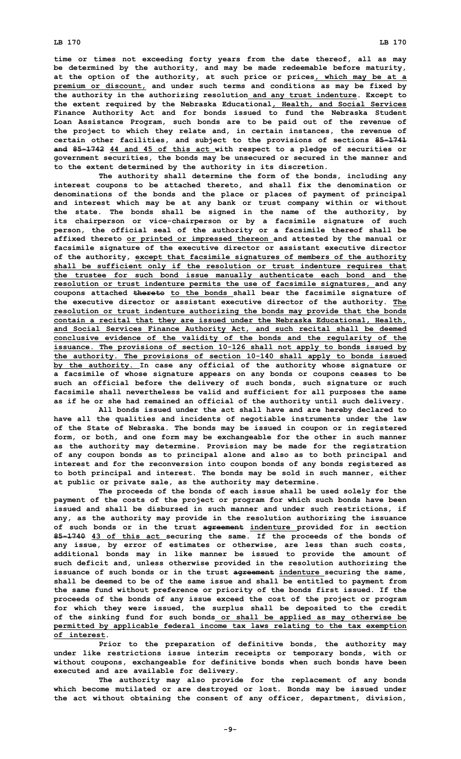**time or times not exceeding forty years from the date thereof, all as may be determined by the authority, and may be made redeemable before maturity, at the option of the authority, at such price or prices, which may be at <sup>a</sup> premium or discount, and under such terms and conditions as may be fixed by the authority in the authorizing resolution and any trust indenture. Except to the extent required by the Nebraska Educational, Health, and Social Services Finance Authority Act and for bonds issued to fund the Nebraska Student Loan Assistance Program, such bonds are to be paid out of the revenue of the project to which they relate and, in certain instances, the revenue of certain other facilities, and subject to the provisions of sections 85-1741 and 85-1742 44 and 45 of this act with respect to <sup>a</sup> pledge of securities or government securities, the bonds may be unsecured or secured in the manner and to the extent determined by the authority in its discretion.**

**The authority shall determine the form of the bonds, including any interest coupons to be attached thereto, and shall fix the denomination or denominations of the bonds and the place or places of payment of principal and interest which may be at any bank or trust company within or without the state. The bonds shall be signed in the name of the authority, by its chairperson or vice-chairperson or by <sup>a</sup> facsimile signature of such person, the official seal of the authority or <sup>a</sup> facsimile thereof shall be affixed thereto or printed or impressed thereon and attested by the manual or facsimile signature of the executive director or assistant executive director of the authority, except that facsimile signatures of members of the authority shall be sufficient only if the resolution or trust indenture requires that the trustee for such bond issue manually authenticate each bond and the resolution or trust indenture permits the use of facsimile signatures, and any coupons attached thereto to the bonds shall bear the facsimile signature of the executive director or assistant executive director of the authority. The resolution or trust indenture authorizing the bonds may provide that the bonds contain <sup>a</sup> recital that they are issued under the Nebraska Educational, Health, and Social Services Finance Authority Act, and such recital shall be deemed conclusive evidence of the validity of the bonds and the regularity of the issuance. The provisions of section 10-126 shall not apply to bonds issued by the authority. The provisions of section 10-140 shall apply to bonds issued by the authority. In case any official of the authority whose signature or <sup>a</sup> facsimile of whose signature appears on any bonds or coupons ceases to be such an official before the delivery of such bonds, such signature or such facsimile shall nevertheless be valid and sufficient for all purposes the same as if he or she had remained an official of the authority until such delivery.**

**All bonds issued under the act shall have and are hereby declared to have all the qualities and incidents of negotiable instruments under the law of the State of Nebraska. The bonds may be issued in coupon or in registered form, or both, and one form may be exchangeable for the other in such manner as the authority may determine. Provision may be made for the registration of any coupon bonds as to principal alone and also as to both principal and interest and for the reconversion into coupon bonds of any bonds registered as to both principal and interest. The bonds may be sold in such manner, either at public or private sale, as the authority may determine.**

**The proceeds of the bonds of each issue shall be used solely for the payment of the costs of the project or program for which such bonds have been issued and shall be disbursed in such manner and under such restrictions, if any, as the authority may provide in the resolution authorizing the issuance of such bonds or in the trust agreement indenture provided for in section 85-1740 43 of this act securing the same. If the proceeds of the bonds of any issue, by error of estimates or otherwise, are less than such costs, additional bonds may in like manner be issued to provide the amount of such deficit and, unless otherwise provided in the resolution authorizing the issuance of such bonds or in the trust agreement indenture securing the same, shall be deemed to be of the same issue and shall be entitled to payment from the same fund without preference or priority of the bonds first issued. If the proceeds of the bonds of any issue exceed the cost of the project or program for which they were issued, the surplus shall be deposited to the credit of the sinking fund for such bonds or shall be applied as may otherwise be permitted by applicable federal income tax laws relating to the tax exemption of interest.**

**Prior to the preparation of definitive bonds, the authority may under like restrictions issue interim receipts or temporary bonds, with or without coupons, exchangeable for definitive bonds when such bonds have been executed and are available for delivery.**

**The authority may also provide for the replacement of any bonds which become mutilated or are destroyed or lost. Bonds may be issued under the act without obtaining the consent of any officer, department, division,**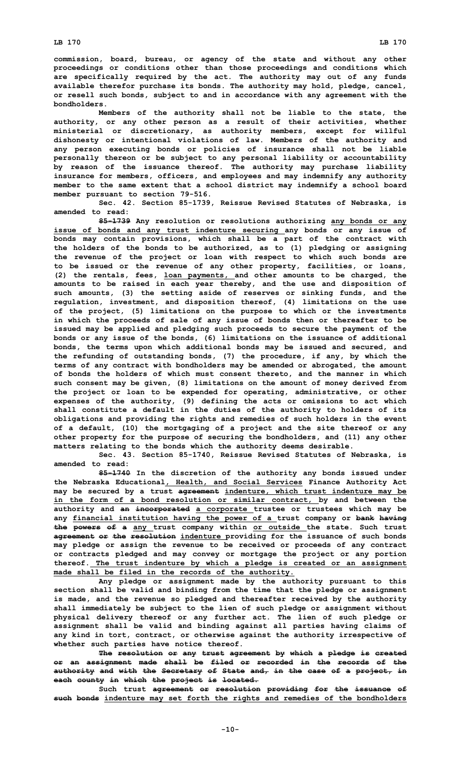**commission, board, bureau, or agency of the state and without any other proceedings or conditions other than those proceedings and conditions which are specifically required by the act. The authority may out of any funds available therefor purchase its bonds. The authority may hold, pledge, cancel, or resell such bonds, subject to and in accordance with any agreement with the bondholders.**

**Members of the authority shall not be liable to the state, the authority, or any other person as <sup>a</sup> result of their activities, whether ministerial or discretionary, as authority members, except for willful dishonesty or intentional violations of law. Members of the authority and any person executing bonds or policies of insurance shall not be liable personally thereon or be subject to any personal liability or accountability by reason of the issuance thereof. The authority may purchase liability insurance for members, officers, and employees and may indemnify any authority member to the same extent that <sup>a</sup> school district may indemnify <sup>a</sup> school board member pursuant to section 79-516.**

**Sec. 42. Section 85-1739, Reissue Revised Statutes of Nebraska, is amended to read:**

**85-1739 Any resolution or resolutions authorizing any bonds or any issue of bonds and any trust indenture securing any bonds or any issue of bonds may contain provisions, which shall be <sup>a</sup> part of the contract with the holders of the bonds to be authorized, as to (1) pledging or assigning the revenue of the project or loan with respect to which such bonds are to be issued or the revenue of any other property, facilities, or loans, (2) the rentals, fees, loan payments, and other amounts to be charged, the amounts to be raised in each year thereby, and the use and disposition of such amounts, (3) the setting aside of reserves or sinking funds, and the regulation, investment, and disposition thereof, (4) limitations on the use of the project, (5) limitations on the purpose to which or the investments in which the proceeds of sale of any issue of bonds then or thereafter to be issued may be applied and pledging such proceeds to secure the payment of the bonds or any issue of the bonds, (6) limitations on the issuance of additional bonds, the terms upon which additional bonds may be issued and secured, and the refunding of outstanding bonds, (7) the procedure, if any, by which the terms of any contract with bondholders may be amended or abrogated, the amount of bonds the holders of which must consent thereto, and the manner in which such consent may be given, (8) limitations on the amount of money derived from the project or loan to be expended for operating, administrative, or other expenses of the authority, (9) defining the acts or omissions to act which shall constitute <sup>a</sup> default in the duties of the authority to holders of its obligations and providing the rights and remedies of such holders in the event of <sup>a</sup> default, (10) the mortgaging of <sup>a</sup> project and the site thereof or any other property for the purpose of securing the bondholders, and (11) any other matters relating to the bonds which the authority deems desirable.**

**Sec. 43. Section 85-1740, Reissue Revised Statutes of Nebraska, is amended to read:**

**85-1740 In the discretion of the authority any bonds issued under the Nebraska Educational, Health, and Social Services Finance Authority Act may be secured by <sup>a</sup> trust agreement indenture, which trust indenture may be in the form of <sup>a</sup> bond resolution or similar contract, by and between the authority and an incorporated <sup>a</sup> corporate trustee or trustees which may be any financial institution having the power of <sup>a</sup> trust company or bank having the powers of <sup>a</sup> any trust company within or outside the state. Such trust agreement or the resolution indenture providing for the issuance of such bonds may pledge or assign the revenue to be received or proceeds of any contract or contracts pledged and may convey or mortgage the project or any portion thereof. The trust indenture by which <sup>a</sup> pledge is created or an assignment made shall be filed in the records of the authority.**

**Any pledge or assignment made by the authority pursuant to this section shall be valid and binding from the time that the pledge or assignment is made, and the revenue so pledged and thereafter received by the authority shall immediately be subject to the lien of such pledge or assignment without physical delivery thereof or any further act. The lien of such pledge or assignment shall be valid and binding against all parties having claims of any kind in tort, contract, or otherwise against the authority irrespective of whether such parties have notice thereof.**

**The resolution or any trust agreement by which <sup>a</sup> pledge is created or an assignment made shall be filed or recorded in the records of the authority and with the Secretary of State and, in the case of <sup>a</sup> project, in each county in which the project is located.**

**Such trust agreement or resolution providing for the issuance of such bonds indenture may set forth the rights and remedies of the bondholders**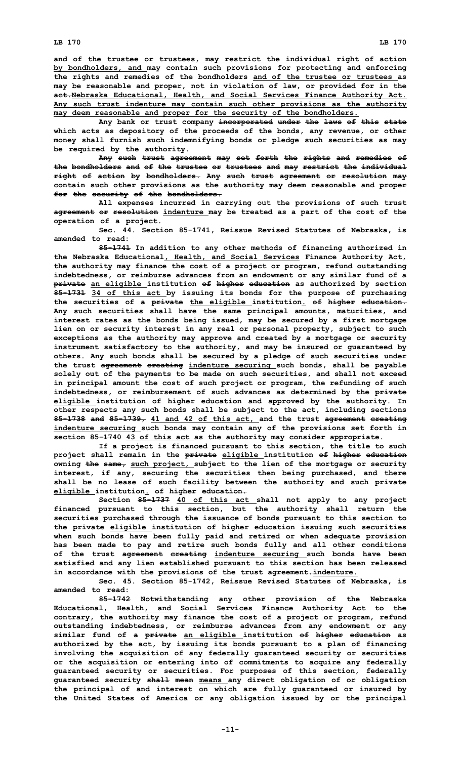**and of the trustee or trustees, may restrict the individual right of action by bondholders, and may contain such provisions for protecting and enforcing the rights and remedies of the bondholders and of the trustee or trustees as may be reasonable and proper, not in violation of law, or provided for in the act.Nebraska Educational, Health, and Social Services Finance Authority Act. Any such trust indenture may contain such other provisions as the authority may deem reasonable and proper for the security of the bondholders.**

**Any bank or trust company incorporated under the laws of this state which acts as depository of the proceeds of the bonds, any revenue, or other money shall furnish such indemnifying bonds or pledge such securities as may be required by the authority.**

**Any such trust agreement may set forth the rights and remedies of the bondholders and of the trustee or trustees and may restrict the individual right of action by bondholders. Any such trust agreement or resolution may contain such other provisions as the authority may deem reasonable and proper for the security of the bondholders.**

**All expenses incurred in carrying out the provisions of such trust agreement or resolution indenture may be treated as <sup>a</sup> part of the cost of the operation of <sup>a</sup> project.**

**Sec. 44. Section 85-1741, Reissue Revised Statutes of Nebraska, is amended to read:**

**85-1741 In addition to any other methods of financing authorized in the Nebraska Educational, Health, and Social Services Finance Authority Act, the authority may finance the cost of <sup>a</sup> project or program, refund outstanding indebtedness, or reimburse advances from an endowment or any similar fund of <sup>a</sup> private an eligible institution of higher education as authorized by section 85-1731 34 of this act by issuing its bonds for the purpose of purchasing the securities of <sup>a</sup> private the eligible institution. of higher education. Any such securities shall have the same principal amounts, maturities, and interest rates as the bonds being issued, may be secured by <sup>a</sup> first mortgage lien on or security interest in any real or personal property, subject to such exceptions as the authority may approve and created by <sup>a</sup> mortgage or security instrument satisfactory to the authority, and may be insured or guaranteed by others. Any such bonds shall be secured by <sup>a</sup> pledge of such securities under the trust agreement creating indenture securing such bonds, shall be payable solely out of the payments to be made on such securities, and shall not exceed in principal amount the cost of such project or program, the refunding of such indebtedness, or reimbursement of such advances as determined by the private eligible institution of higher education and approved by the authority. In other respects any such bonds shall be subject to the act, including sections 85-1738 and 85-1739, 41 and 42 of this act, and the trust agreement creating indenture securing such bonds may contain any of the provisions set forth in section 85-1740 43 of this act as the authority may consider appropriate.**

**If <sup>a</sup> project is financed pursuant to this section, the title to such project shall remain in the private eligible institution of higher education owning the same, such project, subject to the lien of the mortgage or security interest, if any, securing the securities then being purchased, and there shall be no lease of such facility between the authority and such private eligible institution. of higher education.**

**Section 85-1737 40 of this act shall not apply to any project financed pursuant to this section, but the authority shall return the securities purchased through the issuance of bonds pursuant to this section to the private eligible institution of higher education issuing such securities when such bonds have been fully paid and retired or when adequate provision has been made to pay and retire such bonds fully and all other conditions of the trust agreement creating indenture securing such bonds have been satisfied and any lien established pursuant to this section has been released in accordance with the provisions of the trust agreement.indenture.**

**Sec. 45. Section 85-1742, Reissue Revised Statutes of Nebraska, is amended to read:**

**85-1742 Notwithstanding any other provision of the Nebraska Educational, Health, and Social Services Finance Authority Act to the contrary, the authority may finance the cost of <sup>a</sup> project or program, refund outstanding indebtedness, or reimburse advances from any endowment or any similar fund of <sup>a</sup> private an eligible institution of higher education as authorized by the act, by issuing its bonds pursuant to <sup>a</sup> plan of financing involving the acquisition of any federally guaranteed security or securities or the acquisition or entering into of commitments to acquire any federally guaranteed security or securities. For purposes of this section, federally guaranteed security shall mean means any direct obligation of or obligation the principal of and interest on which are fully guaranteed or insured by the United States of America or any obligation issued by or the principal**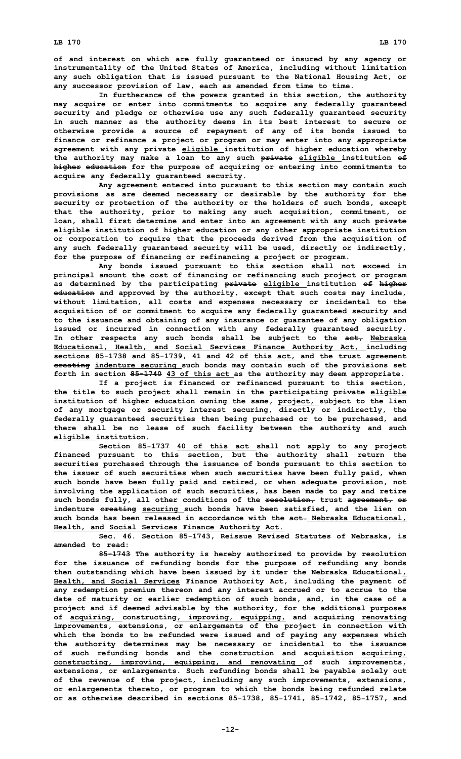**of and interest on which are fully guaranteed or insured by any agency or instrumentality of the United States of America, including without limitation any such obligation that is issued pursuant to the National Housing Act, or any successor provision of law, each as amended from time to time.**

**In furtherance of the powers granted in this section, the authority may acquire or enter into commitments to acquire any federally guaranteed security and pledge or otherwise use any such federally guaranteed security in such manner as the authority deems in its best interest to secure or otherwise provide <sup>a</sup> source of repayment of any of its bonds issued to finance or refinance <sup>a</sup> project or program or may enter into any appropriate agreement with any private eligible institution of higher education whereby the authority may make <sup>a</sup> loan to any such private eligible institution of higher education for the purpose of acquiring or entering into commitments to acquire any federally guaranteed security.**

**Any agreement entered into pursuant to this section may contain such provisions as are deemed necessary or desirable by the authority for the security or protection of the authority or the holders of such bonds, except that the authority, prior to making any such acquisition, commitment, or loan, shall first determine and enter into an agreement with any such private eligible institution of higher education or any other appropriate institution or corporation to require that the proceeds derived from the acquisition of any such federally guaranteed security will be used, directly or indirectly, for the purpose of financing or refinancing <sup>a</sup> project or program.**

**Any bonds issued pursuant to this section shall not exceed in principal amount the cost of financing or refinancing such project or program as determined by the participating private eligible institution of higher education and approved by the authority, except that such costs may include, without limitation, all costs and expenses necessary or incidental to the acquisition of or commitment to acquire any federally guaranteed security and to the issuance and obtaining of any insurance or guarantee of any obligation issued or incurred in connection with any federally guaranteed security. In other respects any such bonds shall be subject to the act, Nebraska Educational, Health, and Social Services Finance Authority Act, including sections 85-1738 and 85-1739, 41 and 42 of this act, and the trust agreement creating indenture securing such bonds may contain such of the provisions set forth in section 85-1740 43 of this act as the authority may deem appropriate.**

**If <sup>a</sup> project is financed or refinanced pursuant to this section, the title to such project shall remain in the participating private eligible institution of higher education owning the same, project, subject to the lien of any mortgage or security interest securing, directly or indirectly, the federally guaranteed securities then being purchased or to be purchased, and there shall be no lease of such facility between the authority and such eligible institution.**

**Section 85-1737 40 of this act shall not apply to any project financed pursuant to this section, but the authority shall return the securities purchased through the issuance of bonds pursuant to this section to the issuer of such securities when such securities have been fully paid, when such bonds have been fully paid and retired, or when adequate provision, not involving the application of such securities, has been made to pay and retire such bonds fully, all other conditions of the resolution, trust agreement, or indenture creating securing such bonds have been satisfied, and the lien on such bonds has been released in accordance with the act. Nebraska Educational, Health, and Social Services Finance Authority Act.**

**Sec. 46. Section 85-1743, Reissue Revised Statutes of Nebraska, is amended to read:**

**85-1743 The authority is hereby authorized to provide by resolution for the issuance of refunding bonds for the purpose of refunding any bonds then outstanding which have been issued by it under the Nebraska Educational, Health, and Social Services Finance Authority Act, including the payment of any redemption premium thereon and any interest accrued or to accrue to the date of maturity or earlier redemption of such bonds, and, in the case of <sup>a</sup> project and if deemed advisable by the authority, for the additional purposes of acquiring, constructing, improving, equipping, and acquiring renovating improvements, extensions, or enlargements of the project in connection with which the bonds to be refunded were issued and of paying any expenses which the authority determines may be necessary or incidental to the issuance of such refunding bonds and the construction and acquisition acquiring, constructing, improving, equipping, and renovating of such improvements, extensions, or enlargements. Such refunding bonds shall be payable solely out of the revenue of the project, including any such improvements, extensions, or enlargements thereto, or program to which the bonds being refunded relate or as otherwise described in sections 85-1738, 85-1741, 85-1742, 85-1757, and**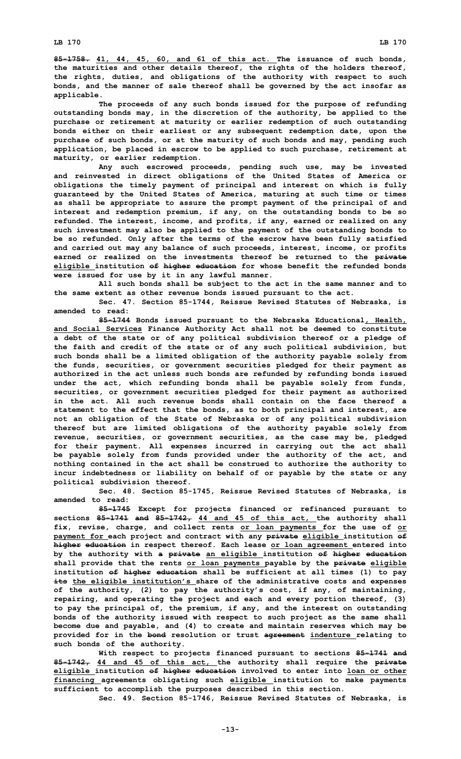**85-1758. 41, 44, 45, 60, and 61 of this act. The issuance of such bonds, the maturities and other details thereof, the rights of the holders thereof, the rights, duties, and obligations of the authority with respect to such bonds, and the manner of sale thereof shall be governed by the act insofar as applicable.**

**The proceeds of any such bonds issued for the purpose of refunding outstanding bonds may, in the discretion of the authority, be applied to the purchase or retirement at maturity or earlier redemption of such outstanding bonds either on their earliest or any subsequent redemption date, upon the purchase of such bonds, or at the maturity of such bonds and may, pending such application, be placed in escrow to be applied to such purchase, retirement at maturity, or earlier redemption.**

**Any such escrowed proceeds, pending such use, may be invested and reinvested in direct obligations of the United States of America or obligations the timely payment of principal and interest on which is fully guaranteed by the United States of America, maturing at such time or times as shall be appropriate to assure the prompt payment of the principal of and interest and redemption premium, if any, on the outstanding bonds to be so refunded. The interest, income, and profits, if any, earned or realized on any such investment may also be applied to the payment of the outstanding bonds to be so refunded. Only after the terms of the escrow have been fully satisfied and carried out may any balance of such proceeds, interest, income, or profits earned or realized on the investments thereof be returned to the private eligible institution of higher education for whose benefit the refunded bonds were issued for use by it in any lawful manner.**

**All such bonds shall be subject to the act in the same manner and to the same extent as other revenue bonds issued pursuant to the act.**

**Sec. 47. Section 85-1744, Reissue Revised Statutes of Nebraska, is amended to read:**

**85-1744 Bonds issued pursuant to the Nebraska Educational, Health, and Social Services Finance Authority Act shall not be deemed to constitute <sup>a</sup> debt of the state or of any political subdivision thereof or <sup>a</sup> pledge of the faith and credit of the state or of any such political subdivision, but such bonds shall be <sup>a</sup> limited obligation of the authority payable solely from the funds, securities, or government securities pledged for their payment as authorized in the act unless such bonds are refunded by refunding bonds issued under the act, which refunding bonds shall be payable solely from funds, securities, or government securities pledged for their payment as authorized in the act. All such revenue bonds shall contain on the face thereof a statement to the effect that the bonds, as to both principal and interest, are not an obligation of the State of Nebraska or of any political subdivision thereof but are limited obligations of the authority payable solely from revenue, securities, or government securities, as the case may be, pledged for their payment. All expenses incurred in carrying out the act shall be payable solely from funds provided under the authority of the act, and nothing contained in the act shall be construed to authorize the authority to incur indebtedness or liability on behalf of or payable by the state or any political subdivision thereof.**

**Sec. 48. Section 85-1745, Reissue Revised Statutes of Nebraska, is amended to read:**

**85-1745 Except for projects financed or refinanced pursuant to sections 85-1741 and 85-1742, 44 and 45 of this act, the authority shall fix, revise, charge, and collect rents or loan payments for the use of or payment for each project and contract with any private eligible institution of higher education in respect thereof. Each lease or loan agreement entered into by the authority with <sup>a</sup> private an eligible institution of higher education shall provide that the rents or loan payments payable by the private eligible institution of higher education shall be sufficient at all times (1) to pay its the eligible institution's share of the administrative costs and expenses of the authority, (2) to pay the authority's cost, if any, of maintaining, repairing, and operating the project and each and every portion thereof, (3) to pay the principal of, the premium, if any, and the interest on outstanding bonds of the authority issued with respect to such project as the same shall become due and payable, and (4) to create and maintain reserves which may be provided for in the bond resolution or trust agreement indenture relating to such bonds of the authority.**

**With respect to projects financed pursuant to sections 85-1741 and 85-1742, 44 and 45 of this act, the authority shall require the private eligible institution of higher education involved to enter into loan or other financing agreements obligating such eligible institution to make payments sufficient to accomplish the purposes described in this section.**

**Sec. 49. Section 85-1746, Reissue Revised Statutes of Nebraska, is**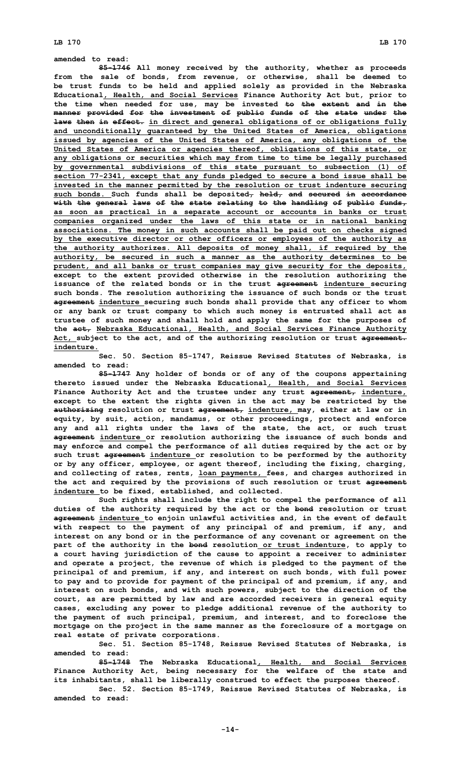## **amended to read:**

**85-1746 All money received by the authority, whether as proceeds from the sale of bonds, from revenue, or otherwise, shall be deemed to be trust funds to be held and applied solely as provided in the Nebraska Educational, Health, and Social Services Finance Authority Act but, prior to the time when needed for use, may be invested to the extent and in the manner provided for the investment of public funds of the state under the laws then in effect. in direct and general obligations of or obligations fully and unconditionally guaranteed by the United States of America, obligations issued by agencies of the United States of America, any obligations of the United States of America or agencies thereof, obligations of this state, or any obligations or securities which may from time to time be legally purchased by governmental subdivisions of this state pursuant to subsection (1) of section 77-2341, except that any funds pledged to secure <sup>a</sup> bond issue shall be invested in the manner permitted by the resolution or trust indenture securing such bonds. Such funds shall be deposited, held, and secured in accordance with the general laws of the state relating to the handling of public funds, as soon as practical in <sup>a</sup> separate account or accounts in banks or trust companies organized under the laws of this state or in national banking associations. The money in such accounts shall be paid out on checks signed by the executive director or other officers or employees of the authority as the authority authorizes. All deposits of money shall, if required by the authority, be secured in such <sup>a</sup> manner as the authority determines to be prudent, and all banks or trust companies may give security for the deposits, except to the extent provided otherwise in the resolution authorizing the issuance of the related bonds or in the trust agreement indenture securing such bonds. The resolution authorizing the issuance of such bonds or the trust agreement indenture securing such bonds shall provide that any officer to whom or any bank or trust company to which such money is entrusted shall act as trustee of such money and shall hold and apply the same for the purposes of the act, Nebraska Educational, Health, and Social Services Finance Authority Act, subject to the act, and of the authorizing resolution or trust agreement. indenture.**

**Sec. 50. Section 85-1747, Reissue Revised Statutes of Nebraska, is amended to read:**

**85-1747 Any holder of bonds or of any of the coupons appertaining thereto issued under the Nebraska Educational, Health, and Social Services Finance Authority Act and the trustee under any trust agreement, indenture, except to the extent the rights given in the act may be restricted by the authorizing resolution or trust agreement, indenture, may, either at law or in equity, by suit, action, mandamus, or other proceedings, protect and enforce any and all rights under the laws of the state, the act, or such trust agreement indenture or resolution authorizing the issuance of such bonds and may enforce and compel the performance of all duties required by the act or by such trust agreement indenture or resolution to be performed by the authority or by any officer, employee, or agent thereof, including the fixing, charging, and collecting of rates, rents, loan payments, fees, and charges authorized in the act and required by the provisions of such resolution or trust agreement indenture to be fixed, established, and collected.**

**Such rights shall include the right to compel the performance of all duties of the authority required by the act or the bond resolution or trust agreement indenture to enjoin unlawful activities and, in the event of default with respect to the payment of any principal of and premium, if any, and interest on any bond or in the performance of any covenant or agreement on the part of the authority in the bond resolution or trust indenture, to apply to <sup>a</sup> court having jurisdiction of the cause to appoint <sup>a</sup> receiver to administer and operate <sup>a</sup> project, the revenue of which is pledged to the payment of the principal of and premium, if any, and interest on such bonds, with full power to pay and to provide for payment of the principal of and premium, if any, and interest on such bonds, and with such powers, subject to the direction of the court, as are permitted by law and are accorded receivers in general equity cases, excluding any power to pledge additional revenue of the authority to the payment of such principal, premium, and interest, and to foreclose the mortgage on the project in the same manner as the foreclosure of <sup>a</sup> mortgage on real estate of private corporations.**

**Sec. 51. Section 85-1748, Reissue Revised Statutes of Nebraska, is amended to read:**

**85-1748 The Nebraska Educational, Health, and Social Services Finance Authority Act, being necessary for the welfare of the state and its inhabitants, shall be liberally construed to effect the purposes thereof.**

**Sec. 52. Section 85-1749, Reissue Revised Statutes of Nebraska, is amended to read:**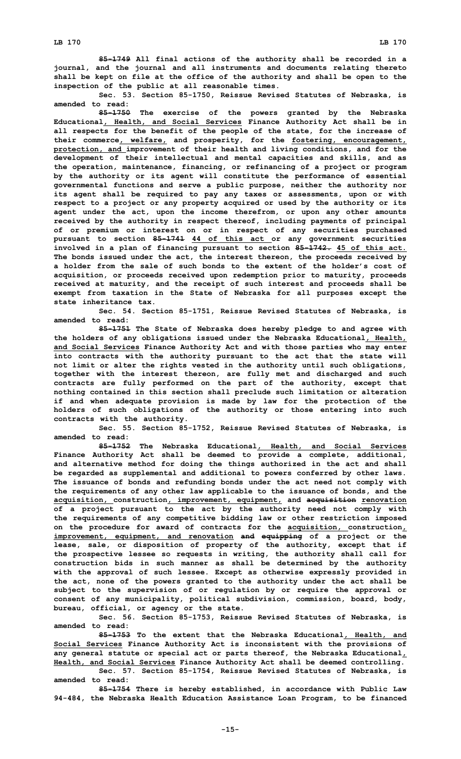**Sec. 53. Section 85-1750, Reissue Revised Statutes of Nebraska, is amended to read:**

**85-1750 The exercise of the powers granted by the Nebraska Educational, Health, and Social Services Finance Authority Act shall be in all respects for the benefit of the people of the state, for the increase of their commerce, welfare, and prosperity, for the fostering, encouragement, protection, and improvement of their health and living conditions, and for the development of their intellectual and mental capacities and skills, and as the operation, maintenance, financing, or refinancing of <sup>a</sup> project or program by the authority or its agent will constitute the performance of essential governmental functions and serve <sup>a</sup> public purpose, neither the authority nor its agent shall be required to pay any taxes or assessments, upon or with respect to <sup>a</sup> project or any property acquired or used by the authority or its agent under the act, upon the income therefrom, or upon any other amounts received by the authority in respect thereof, including payments of principal of or premium or interest on or in respect of any securities purchased pursuant to section 85-1741 44 of this act or any government securities involved in <sup>a</sup> plan of financing pursuant to section 85-1742. 45 of this act. The bonds issued under the act, the interest thereon, the proceeds received by a holder from the sale of such bonds to the extent of the holder's cost of acquisition, or proceeds received upon redemption prior to maturity, proceeds received at maturity, and the receipt of such interest and proceeds shall be exempt from taxation in the State of Nebraska for all purposes except the state inheritance tax.**

**Sec. 54. Section 85-1751, Reissue Revised Statutes of Nebraska, is amended to read:**

**85-1751 The State of Nebraska does hereby pledge to and agree with the holders of any obligations issued under the Nebraska Educational, Health, and Social Services Finance Authority Act and with those parties who may enter into contracts with the authority pursuant to the act that the state will not limit or alter the rights vested in the authority until such obligations, together with the interest thereon, are fully met and discharged and such contracts are fully performed on the part of the authority, except that nothing contained in this section shall preclude such limitation or alteration if and when adequate provision is made by law for the protection of the holders of such obligations of the authority or those entering into such contracts with the authority.**

**Sec. 55. Section 85-1752, Reissue Revised Statutes of Nebraska, is amended to read:**

**85-1752 The Nebraska Educational, Health, and Social Services Finance Authority Act shall be deemed to provide <sup>a</sup> complete, additional, and alternative method for doing the things authorized in the act and shall be regarded as supplemental and additional to powers conferred by other laws. The issuance of bonds and refunding bonds under the act need not comply with the requirements of any other law applicable to the issuance of bonds, and the acquisition, construction, improvement, equipment, and acquisition renovation of <sup>a</sup> project pursuant to the act by the authority need not comply with the requirements of any competitive bidding law or other restriction imposed on the procedure for award of contracts for the acquisition, construction, improvement, equipment, and renovation and equipping of <sup>a</sup> project or the lease, sale, or disposition of property of the authority, except that if the prospective lessee so requests in writing, the authority shall call for construction bids in such manner as shall be determined by the authority with the approval of such lessee. Except as otherwise expressly provided in the act, none of the powers granted to the authority under the act shall be subject to the supervision of or regulation by or require the approval or consent of any municipality, political subdivision, commission, board, body, bureau, official, or agency or the state.**

**Sec. 56. Section 85-1753, Reissue Revised Statutes of Nebraska, is amended to read:**

**85-1753 To the extent that the Nebraska Educational, Health, and Social Services Finance Authority Act is inconsistent with the provisions of any general statute or special act or parts thereof, the Nebraska Educational, Health, and Social Services Finance Authority Act shall be deemed controlling.**

**Sec. 57. Section 85-1754, Reissue Revised Statutes of Nebraska, is amended to read:**

**85-1754 There is hereby established, in accordance with Public Law 94-484, the Nebraska Health Education Assistance Loan Program, to be financed**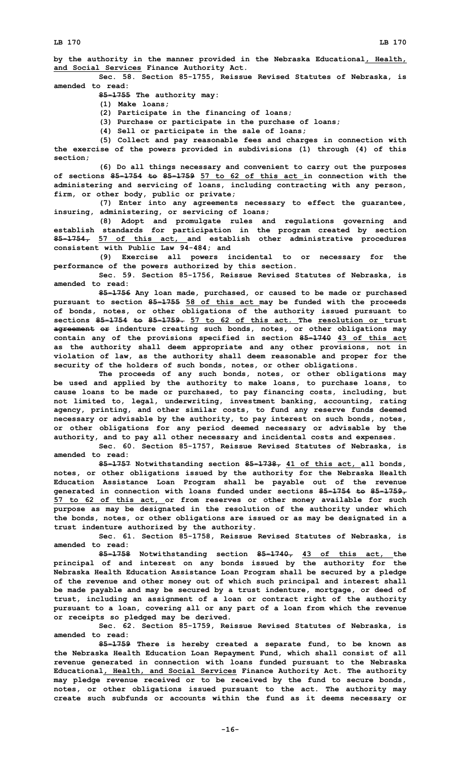**by the authority in the manner provided in the Nebraska Educational, Health, and Social Services Finance Authority Act.**

**Sec. 58. Section 85-1755, Reissue Revised Statutes of Nebraska, is amended to read:**

**85-1755 The authority may:**

**(1) Make loans;**

**(2) Participate in the financing of loans;**

**(3) Purchase or participate in the purchase of loans;**

**(4) Sell or participate in the sale of loans;**

**(5) Collect and pay reasonable fees and charges in connection with the exercise of the powers provided in subdivisions (1) through (4) of this section;**

**(6) Do all things necessary and convenient to carry out the purposes of sections 85-1754 to 85-1759 57 to 62 of this act in connection with the administering and servicing of loans, including contracting with any person, firm, or other body, public or private;**

**(7) Enter into any agreements necessary to effect the guarantee, insuring, administering, or servicing of loans;**

**(8) Adopt and promulgate rules and regulations governing and establish standards for participation in the program created by section 85-1754, 57 of this act, and establish other administrative procedures consistent with Public Law 94-484; and**

**(9) Exercise all powers incidental to or necessary for the performance of the powers authorized by this section.**

**Sec. 59. Section 85-1756, Reissue Revised Statutes of Nebraska, is amended to read:**

**85-1756 Any loan made, purchased, or caused to be made or purchased pursuant to section 85-1755 58 of this act may be funded with the proceeds of bonds, notes, or other obligations of the authority issued pursuant to sections 85-1754 to 85-1759. 57 to 62 of this act. The resolution or trust agreement or indenture creating such bonds, notes, or other obligations may contain any of the provisions specified in section 85-1740 43 of this act as the authority shall deem appropriate and any other provisions, not in violation of law, as the authority shall deem reasonable and proper for the security of the holders of such bonds, notes, or other obligations.**

**The proceeds of any such bonds, notes, or other obligations may be used and applied by the authority to make loans, to purchase loans, to cause loans to be made or purchased, to pay financing costs, including, but not limited to, legal, underwriting, investment banking, accounting, rating agency, printing, and other similar costs, to fund any reserve funds deemed necessary or advisable by the authority, to pay interest on such bonds, notes, or other obligations for any period deemed necessary or advisable by the authority, and to pay all other necessary and incidental costs and expenses.**

**Sec. 60. Section 85-1757, Reissue Revised Statutes of Nebraska, is amended to read:**

**85-1757 Notwithstanding section 85-1738, 41 of this act, all bonds, notes, or other obligations issued by the authority for the Nebraska Health Education Assistance Loan Program shall be payable out of the revenue generated in connection with loans funded under sections 85-1754 to 85-1759, 57 to 62 of this act, or from reserves or other money available for such purpose as may be designated in the resolution of the authority under which the bonds, notes, or other obligations are issued or as may be designated in <sup>a</sup> trust indenture authorized by the authority.**

**Sec. 61. Section 85-1758, Reissue Revised Statutes of Nebraska, is amended to read:**

**85-1758 Notwithstanding section 85-1740, 43 of this act, the principal of and interest on any bonds issued by the authority for the Nebraska Health Education Assistance Loan Program shall be secured by <sup>a</sup> pledge of the revenue and other money out of which such principal and interest shall be made payable and may be secured by <sup>a</sup> trust indenture, mortgage, or deed of trust, including an assignment of <sup>a</sup> loan or contract right of the authority pursuant to <sup>a</sup> loan, covering all or any part of <sup>a</sup> loan from which the revenue or receipts so pledged may be derived.**

**Sec. 62. Section 85-1759, Reissue Revised Statutes of Nebraska, is amended to read:**

**85-1759 There is hereby created <sup>a</sup> separate fund, to be known as the Nebraska Health Education Loan Repayment Fund, which shall consist of all revenue generated in connection with loans funded pursuant to the Nebraska Educational, Health, and Social Services Finance Authority Act. The authority may pledge revenue received or to be received by the fund to secure bonds, notes, or other obligations issued pursuant to the act. The authority may create such subfunds or accounts within the fund as it deems necessary or**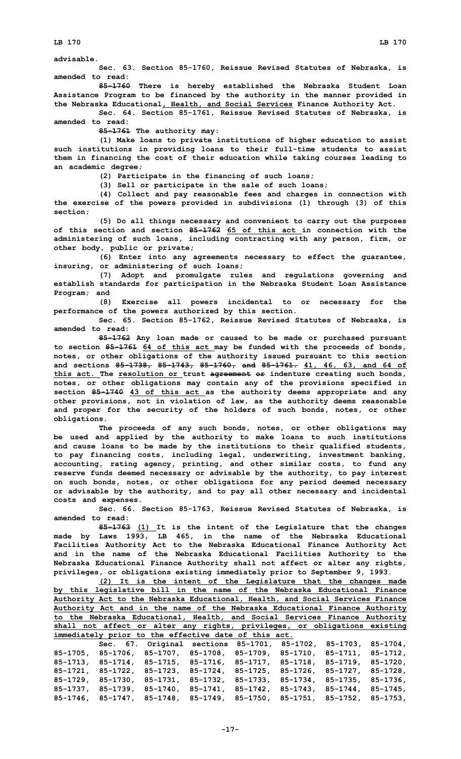## **advisable.**

**Sec. 63. Section 85-1760, Reissue Revised Statutes of Nebraska, is amended to read:**

**85-1760 There is hereby established the Nebraska Student Loan Assistance Program to be financed by the authority in the manner provided in the Nebraska Educational, Health, and Social Services Finance Authority Act.**

**Sec. 64. Section 85-1761, Reissue Revised Statutes of Nebraska, is amended to read:**

**85-1761 The authority may:**

**(1) Make loans to private institutions of higher education to assist such institutions in providing loans to their full-time students to assist them in financing the cost of their education while taking courses leading to an academic degree;**

**(2) Participate in the financing of such loans;**

**(3) Sell or participate in the sale of such loans;**

**(4) Collect and pay reasonable fees and charges in connection with the exercise of the powers provided in subdivisions (1) through (3) of this section;**

**(5) Do all things necessary and convenient to carry out the purposes of this section and section 85-1762 65 of this act in connection with the administering of such loans, including contracting with any person, firm, or other body, public or private;**

**(6) Enter into any agreements necessary to effect the guarantee, insuring, or administering of such loans;**

**(7) Adopt and promulgate rules and regulations governing and establish standards for participation in the Nebraska Student Loan Assistance Program; and**

**(8) Exercise all powers incidental to or necessary for the performance of the powers authorized by this section.**

**Sec. 65. Section 85-1762, Reissue Revised Statutes of Nebraska, is amended to read:**

**85-1762 Any loan made or caused to be made or purchased pursuant to section 85-1761 64 of this act may be funded with the proceeds of bonds, notes, or other obligations of the authority issued pursuant to this section and sections 85-1738, 85-1743, 85-1760, and 85-1761. 41, 46, 63, and 64 of this act. The resolution or trust agreement or indenture creating such bonds, notes, or other obligations may contain any of the provisions specified in section 85-1740 43 of this act as the authority deems appropriate and any other provisions, not in violation of law, as the authority deems reasonable and proper for the security of the holders of such bonds, notes, or other obligations.**

**The proceeds of any such bonds, notes, or other obligations may be used and applied by the authority to make loans to such institutions and cause loans to be made by the institutions to their qualified students, to pay financing costs, including legal, underwriting, investment banking, accounting, rating agency, printing, and other similar costs, to fund any reserve funds deemed necessary or advisable by the authority, to pay interest on such bonds, notes, or other obligations for any period deemed necessary or advisable by the authority, and to pay all other necessary and incidental costs and expenses.**

**Sec. 66. Section 85-1763, Reissue Revised Statutes of Nebraska, is amended to read:**

**85-1763 (1) It is the intent of the Legislature that the changes made by Laws 1993, LB 465, in the name of the Nebraska Educational Facilities Authority Act to the Nebraska Educational Finance Authority Act and in the name of the Nebraska Educational Facilities Authority to the Nebraska Educational Finance Authority shall not affect or alter any rights, privileges, or obligations existing immediately prior to September 9, 1993.**

**(2) It is the intent of the Legislature that the changes made by this legislative bill in the name of the Nebraska Educational Finance Authority Act to the Nebraska Educational, Health, and Social Services Finance Authority Act and in the name of the Nebraska Educational Finance Authority to the Nebraska Educational, Health, and Social Services Finance Authority shall not affect or alter any rights, privileges, or obligations existing immediately prior to the effective date of this act.**

|  |                                                                                                 | Sec. 67. Original sections 85-1701, 85-1702, 85-1703, 85-1704, |  |  |  |  |  |
|--|-------------------------------------------------------------------------------------------------|----------------------------------------------------------------|--|--|--|--|--|
|  | $85-1705$ , $85-1706$ , $85-1707$ , $85-1708$ , $85-1709$ , $85-1710$ , $85-1711$ , $85-1712$ , |                                                                |  |  |  |  |  |
|  | $85-1713$ , $85-1714$ , $85-1715$ , $85-1716$ , $85-1717$ , $85-1718$ , $85-1719$ , $85-1720$ , |                                                                |  |  |  |  |  |
|  | 85-1721, 85-1722, 85-1723, 85-1724, 85-1725, 85-1726, 85-1727, 85-1728,                         |                                                                |  |  |  |  |  |
|  | $85-1729$ , $85-1730$ , $85-1731$ , $85-1732$ , $85-1733$ , $85-1734$ , $85-1735$ , $85-1736$ , |                                                                |  |  |  |  |  |
|  | $85-1737$ , $85-1739$ , $85-1740$ , $85-1741$ , $85-1742$ , $85-1743$ , $85-1744$ , $85-1745$ , |                                                                |  |  |  |  |  |
|  | 85-1746, 85-1747, 85-1748, 85-1749, 85-1750, 85-1751, 85-1752, 85-1753,                         |                                                                |  |  |  |  |  |